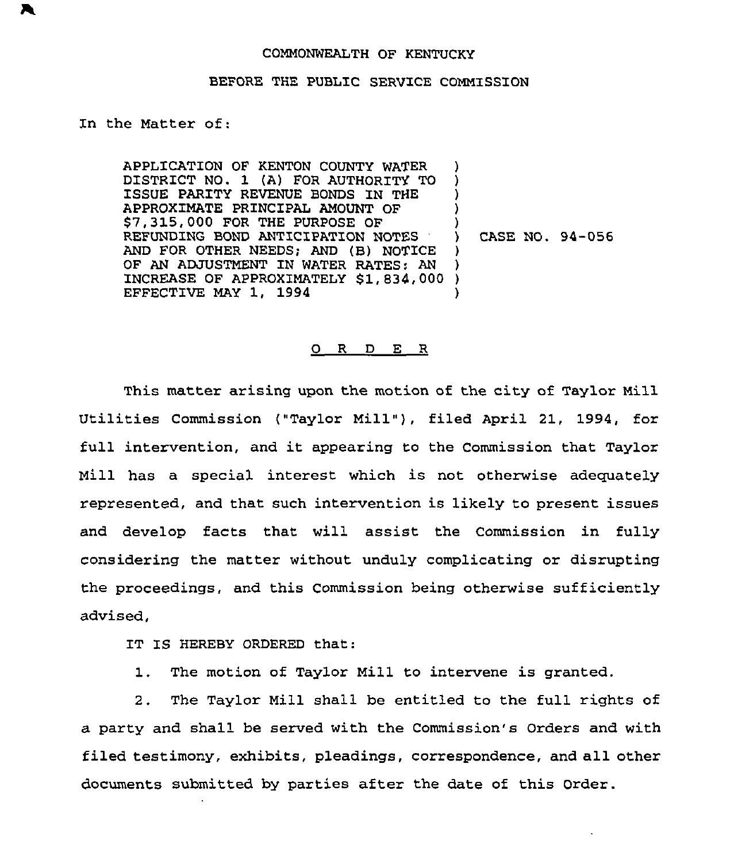## COMMONWEALTH OF KENTUCKY

## BEFORE THE PUBLIC SERVICE COMMISSION

## In the Matter of:

APPLICATION OF KENTON COUNTY WATER DISTRICT NO. 1 (A) FOR AUTHORITY TO ISSUE PARITY REVENUE BONDS IN THE APPROXIMATE PRINCIPAL AMOUNT QF S7,315,000 FOR THE PURPOSE OF REFUNDING BOND ANTICIPATION NOTES AND FOR OTHER NEEDS; AND (B) NOTICE OF AN ADJUSTMENT IN WATER RATES: AN INCREASE OF APPROXIMATELY \$1,834,000 ) EFFECTIVE MAY 1, 1994 ) ) ) ) ) ) CASE NO. 94-056 ) ) )

## 0 R <sup>D</sup> E <sup>R</sup>

This matter arising upon the motion of the city of Taylor Mill Utilities Commission ("Taylor Mill" ), filed April 21, 1994, for full intervention, and it appearing to the Commission that Taylor Mill has a special interest which is not otherwise adequately represented, and that such intervention is likely to present issues and develop facts that will assist the Commission in fully considering the matter without unduly complicating or disrupting the proceedings, and this Commission being otherwise sufficiently advised,

IT IS HEREBY ORDERED that:

1. The motion of Taylor Mill to intervene is granted.

2. The Taylor Mill shall be entitled to the full rights of a party and shall be served with the Commission's Orders and with filed testimony, exhibits, pleadings, correspondence, and all other documents submitted by parties after the date of this Order.